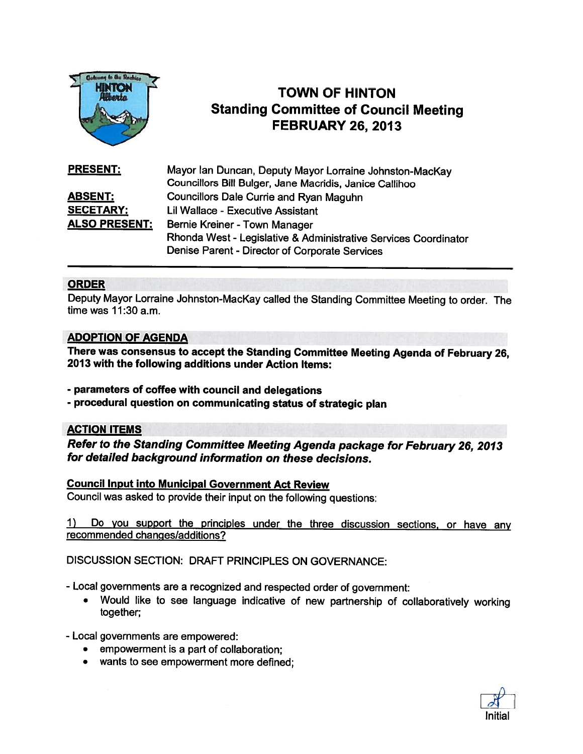

# TOWN OF HINTON Standing Committee of Council Meeting FOWN OF HINTON<br>
Adjects<br>
Adjects<br>
FEBRUARY 26, 2013

| <b>PRESENT:</b>      | Mayor Ian Duncan, Deputy Mayor Lorraine Johnston-MacKay         |
|----------------------|-----------------------------------------------------------------|
|                      | Councillors Bill Bulger, Jane Macridis, Janice Callihoo         |
| <b>ABSENT:</b>       | <b>Councillors Dale Currie and Ryan Maguhn</b>                  |
| <b>SECETARY:</b>     | Lil Wallace - Executive Assistant                               |
| <b>ALSO PRESENT:</b> | Bernie Kreiner - Town Manager                                   |
|                      | Rhonda West - Legislative & Administrative Services Coordinator |
|                      | Denise Parent - Director of Corporate Services                  |

# ORDER

Deputy Mayor Lorraine Johnston-Mackay called the Standing Committee Meeting to order. The time was 11:30 a.m.

## ADOPTION OF AGENDA

There was consensus to accept the Standing Committee Meeting Agenda of February 26, 2013 with the following additions under Action Items:

- parameters of coffee with council and delegations
- procedural question on communicating status of strategic <sup>p</sup>lan

# ACTION ITEMS

Refer to the Standing Committee Meeting Agenda package for February 26, <sup>2013</sup> for detailed background information on these decisions.

## Council Input into Municipal Government Act Review

Council was asked to provide their input on the following questions:

1) Do you suppor<sup>t</sup> the principles under the three discussion sections, or have any recommended changes/additions?

DISCUSSION SECTION: DRAFT PRINCIPLES ON GOVERNANCE:

- Local governments are <sup>a</sup> recognized and respected order of government:
	- Would like to see language indicative of new partnership of collaboratively working together;

-Local governments are empowered:

- empowermen<sup>t</sup> is <sup>a</sup> par<sup>t</sup> of collaboration;
- wants to see empowerment more defined;

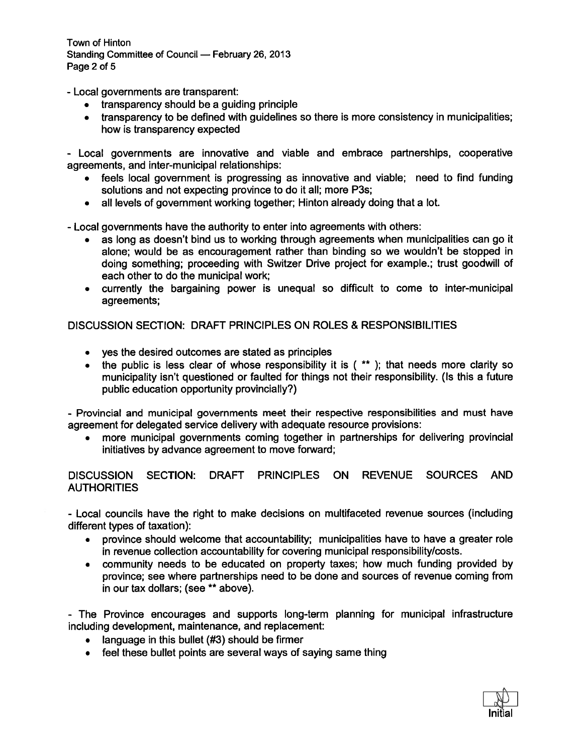Town of Hinton Standing Committee of Council — February 26, 2013 Page 2 of 5

-Local governments are transparent:

- transparency should be <sup>a</sup> guiding principle
- • transparency to be defined with guidelines so there is more consistency in municipalities; how is transparency expected

- Local governments are innovative and viable and embrace partnerships, cooperative agreements, and inter-municipal relationships:

- • feels local governmen<sup>t</sup> is progressing as innovative and viable; need to find funding solutions and not expecting province to do it all; more P3s;
- •all levels of governmen<sup>t</sup> working together; Hinton already doing that <sup>a</sup> lot.

- Local governments have the authority to enter into agreements with others:

- as long as doesn't bind us to working through agreements when municipalities can go it alone; would be as encouragemen<sup>t</sup> rather than binding so we wouldn't be stopped in doing something; proceeding with Switzer Drive project for example.; trust goodwill of each other to do the municipal work;
- currently the bargaining power is unequal so difficult to come to inter-municipal agreements;

DISCUSSION SECTION: DRAFT PRINCIPLES ON ROLES & RESPONSIBILITIES

- yes the desired outcomes are stated as principles
- the public is less clear of whose responsibility it is ( \*\* ); that needs more clarity sc municipality isn't questioned or faulted for things not their responsibility. (Is this <sup>a</sup> future public education opportunity provincially?)

- Provincial and municipal governments meet their respective responsibilities and must have agreemen<sup>t</sup> for delegated service delivery with adequate resource provisions:

• more municipal governments coming together in partnerships for delivering provincial initiatives by advance agreemen<sup>t</sup> to move forward;

DISCUSSION SECTION: DRAFT PRINCIPLES ON REVENUE SOURCES AND **AUTHORITIES** 

- Local councils have the right to make decisions on multifaceted revenue sources (including different types of taxation):

- $\bullet$  province should welcome that accountability; municipalities have to have <sup>a</sup> greater role in revenue collection accountability for covering municipal responsibility/costs.
- • community needs to be educated on property taxes; how much funding provided by province; see where partnerships need to be done and sources of revenue coming from in our tax dollars; (see \*\* above).

- The Province encourages and supports long-term planning for municipal infrastructure including development, maintenance, and replacement:

- language in this bullet (#3) should be firmer
- feel these bullet points are several ways of saying same thing

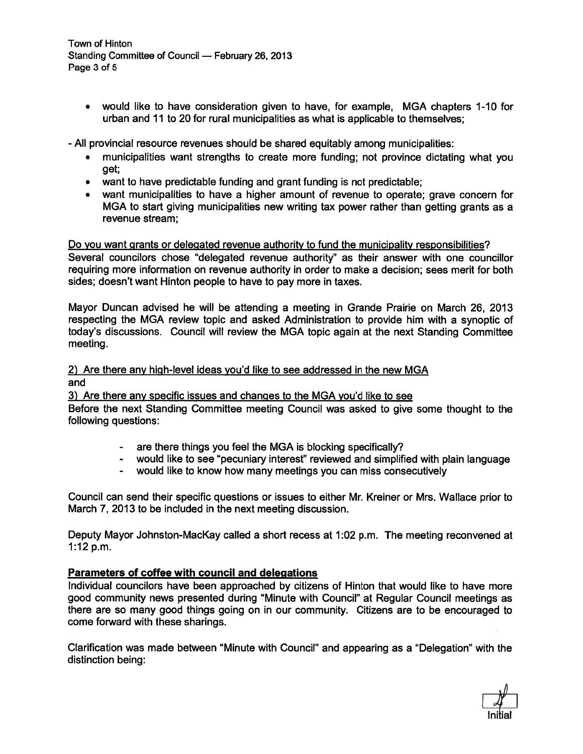Town of Hinton Standing Committee of Council — February 26, 2013 Page 3 of 5

• would like to have consideration given to have, for example, MGA chapters 1-10 for urban and 11 to 20 for rural municipalities as what is applicable to themselves;

-All provincial resource revenues should be shared equitably among municipalities:

- municipalities want strengths to create more funding; not province dictating what you get;
- want to have predictable funding and gran<sup>t</sup> funding is not predictable;
- want municipalities to have <sup>a</sup> higher amount of revenue to operate; grave concern for MGA to start giving municipalities new writing tax power rather than getting grants as <sup>a</sup> revenue stream;

## Do you want grants or delegated revenue authority to fund the municipality responsibilities?

Several councilors chose "delegated revenue authority" as their answer with one councillor requiring more information on revenue authority in order to make <sup>a</sup> decision; sees merit for both sides; doesn't want Hinton people to have to pay more in taxes.

Mayor Duncan advised he will be attending <sup>a</sup> meeting in Grande Prairie on March 26, 2013 respecting the MGA review topic and asked Administration to provide him with <sup>a</sup> synoptic of today's discussions. Council will review the MGA topic again at the next Standing Committee meeting.

## 2) Are there any high-level ideas you'd like to see addressed in the new MGA and

3) Are there any specific issues and changes to the MGA you'd like to see

Before the next Standing Committee meeting Council was asked to give some thought to the following questions:

- are there things you feel the MGA is blocking specifically?
- would like to see "pecuniary interest" reviewed and simplified with plain language
- would like to know how many meetings you can miss consecutively

Council can send their specific questions or issues to either Mr. Kreiner or Mrs. Wallace prior to March 7, 2013 to be included in the next meeting discussion.

Deputy Mayor Johnston-MacKay called <sup>a</sup> short recess at 1:02 p.m. The meeting reconvened at 1:12 p.m.

# Parameters of coffee with council and delegations

Individual councilors have been approached by citizens of Hinton that would like to have more good community news presented during "Minute with Council" at Regular Council meetings as there are so many good things going on in our community. Citizens are to be encouraged to come forward with these sharings.

Clarification was made between "Minute with Council" and appearing as <sup>a</sup> "Delegation" with the distinction being:

Initial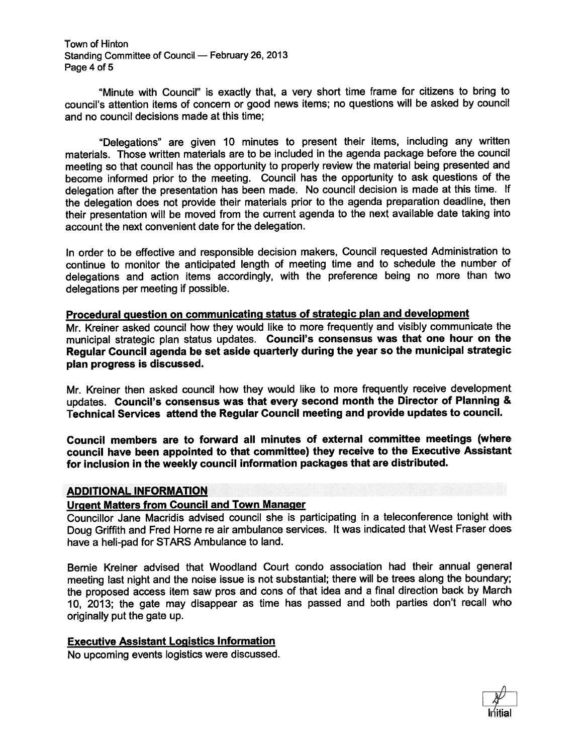Town of Hinton Standing Committee of Council — February 26, <sup>2013</sup> Page 4 of 5

"Minute with Council" is exactly that, <sup>a</sup> very short time frame for citizens to bring to council's attention items of concern or good news items; no questions will be asked by council and no council decisions made at this time;

"Delegations" are <sup>g</sup>iven <sup>10</sup> minutes to presen<sup>t</sup> their items, including any written materials. Those written materials are to be included in the agenda package before the council meeting so that council has the opportunity to properly review the material being presented and become informed prior to the meeting. Council has the opportunity to ask questions of the delegation after the presentation has been made. No council decision is made at this time. If the delegation does not provide their materials prior to the agenda preparation deadline, then their presentation will be moved from the current agenda to the next available date taking into account the next convenient date for the delegation.

In order to be effective and responsible decision makers, Council requested Administration to continue to monitor the anticipated length of meeting time and to schedule the number of delegations and action items accordingly, with the preference being no more than two delegations per meeting if possible.

# Procedural question on communicating status of strategic <sup>p</sup>lan and development

Mr. Kreiner asked council how they would like to more frequently and visibly communicate the municipal strategic <sup>p</sup>lan status updates. Council's consensus was that one hour on the Regular Council agenda be set aside quarterly during the year so the municipal strategic plan progress is discussed.

Mr. Kreiner then asked council how they would like to more frequently receive development updates. Council's consensus was that every second month the Director of Planning & Technical Services attend the Regular Council meeting and provide updates to council.

Council members are to forward all minutes of external committee meetings (where council have been appointed to that committee) they receive to the Executive Assistant for inclusion in the weekly council information packages that are distributed.

## ADDITIONAL INFORMATION

## Urgent Matters from Council and Town Manager

Councillor Jane Macridis advised council she is participating in <sup>a</sup> teleconference tonight with Doug Griffith and Fred Home re air ambulance services, It was indicated that West Fraser does have <sup>a</sup> heli-pad for STARS Ambulance to land.

Bernie Kreiner advised that Woodland Court condo association had their annual general meeting last night and the noise issue is not substantial; there will be trees along the boundary; the propose<sup>d</sup> access item saw pros and cons of that idea and <sup>a</sup> final direction back by March 10, 2013; the gate may disappear as time has passe<sup>d</sup> and both parties don't recall who originally pu<sup>t</sup> the gate up.

# Executive Assistant Logistics Information

No upcoming events logistics were discussed.